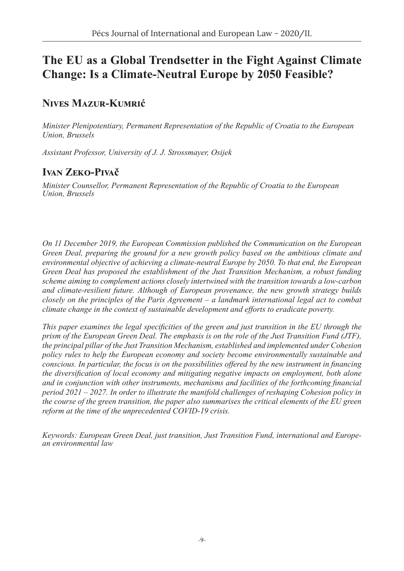# **The EU as a Global Trendsetter in the Fight Against Climate Change: Is a Climate-Neutral Europe by 2050 Feasible?**

## **Nives Mazur-Kumrić**

*Minister Plenipotentiary, Permanent Representation of the Republic of Croatia to the European Union, Brussels*

*Assistant Professor, University of J. J. Strossmayer, Osijek*

## **Ivan Zeko-Pivač**

*Minister Counsellor, Permanent Representation of the Republic of Croatia to the European Union, Brussels*

*On 11 December 2019, the European Commission published the Communication on the European Green Deal, preparing the ground for a new growth policy based on the ambitious climate and environmental objective of achieving a climate-neutral Europe by 2050. To that end, the European Green Deal has proposed the establishment of the Just Transition Mechanism, a robust funding scheme aiming to complement actions closely intertwined with the transition towards a low-carbon and climate-resilient future. Although of European provenance, the new growth strategy builds closely on the principles of the Paris Agreement – a landmark international legal act to combat climate change in the context of sustainable development and efforts to eradicate poverty.*

*This paper examines the legal specificities of the green and just transition in the EU through the prism of the European Green Deal. The emphasis is on the role of the Just Transition Fund (JTF), the principal pillar of the Just Transition Mechanism, established and implemented under Cohesion policy rules to help the European economy and society become environmentally sustainable and conscious. In particular, the focus is on the possibilities offered by the new instrument in financing the diversification of local economy and mitigating negative impacts on employment, both alone and in conjunction with other instruments, mechanisms and facilities of the forthcoming financial period 2021 – 2027. In order to illustrate the manifold challenges of reshaping Cohesion policy in the course of the green transition, the paper also summarises the critical elements of the EU green reform at the time of the unprecedented COVID-19 crisis.* 

*Keywords: European Green Deal, just transition, Just Transition Fund, international and European environmental law*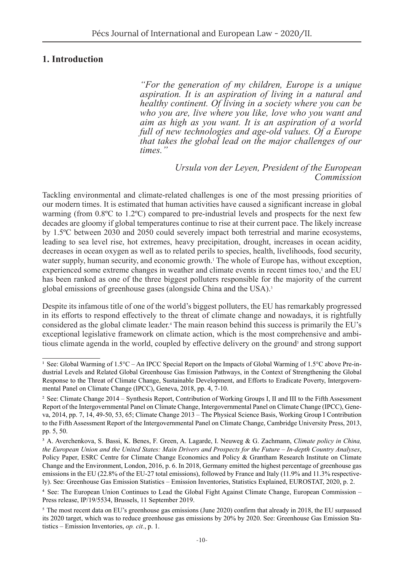### **1. Introduction**

*"For the generation of my children, Europe is a unique aspiration. It is an aspiration of living in a natural and healthy continent. Of living in a society where you can be who you are, live where you like, love who you want and aim as high as you want. It is an aspiration of a world full of new technologies and age-old values. Of a Europe that takes the global lead on the major challenges of our times."*

#### *Ursula von der Leyen, President of the European Commission*

Tackling environmental and climate-related challenges is one of the most pressing priorities of our modern times. It is estimated that human activities have caused a significant increase in global warming (from 0.8ºC to 1.2ºC) compared to pre-industrial levels and prospects for the next few decades are gloomy if global temperatures continue to rise at their current pace. The likely increase by 1.5ºC between 2030 and 2050 could severely impact both terrestrial and marine ecosystems, leading to sea level rise, hot extremes, heavy precipitation, drought, increases in ocean acidity, decreases in ocean oxygen as well as to related perils to species, health, livelihoods, food security, water supply, human security, and economic growth.<sup>1</sup> The whole of Europe has, without exception, experienced some extreme changes in weather and climate events in recent times too,<sup>2</sup> and the EU has been ranked as one of the three biggest polluters responsible for the majority of the current global emissions of greenhouse gases (alongside China and the USA).<sup>3</sup>

Despite its infamous title of one of the world's biggest polluters, the EU has remarkably progressed in its efforts to respond effectively to the threat of climate change and nowadays, it is rightfully considered as the global climate leader.<sup>4</sup> The main reason behind this success is primarily the EU's exceptional legislative framework on climate action, which is the most comprehensive and ambitious climate agenda in the world, coupled by effective delivery on the ground<sup>5</sup> and strong support

<sup>1</sup> See: Global Warming of 1.5°C – An IPCC Special Report on the Impacts of Global Warming of 1.5°C above Pre-industrial Levels and Related Global Greenhouse Gas Emission Pathways, in the Context of Strengthening the Global Response to the Threat of Climate Change, Sustainable Development, and Efforts to Eradicate Poverty, Intergovernmental Panel on Climate Change (IPCC), Geneva, 2018, pp. 4, 7-10.

<sup>2</sup> See: Climate Change 2014 – Synthesis Report, Contribution of Working Groups I, II and III to the Fifth Assessment Report of the Intergovernmental Panel on Climate Change, Intergovernmental Panel on Climate Change (IPCC), Geneva, 2014, pp. 7, 14, 49-50, 53, 65; Climate Change 2013 – The Physical Science Basis, Working Group I Contribution to the Fifth Assessment Report of the Intergovernmental Panel on Climate Change, Cambridge University Press, 2013, pp. 5, 50.

<sup>3</sup> A. Averchenkova, S. Bassi, K. Benes, F. Green, A. Lagarde, I. Neuweg & G. Zachmann, *Climate policy in China, the European Union and the United States: Main Drivers and Prospects for the Future – In-depth Country Analyses*, Policy Paper, ESRC Centre for Climate Change Economics and Policy & Grantham Research Institute on Climate Change and the Environment, London, 2016, p. 6. In 2018, Germany emitted the highest percentage of greenhouse gas emissions in the EU (22.8% of the EU-27 total emissions), followed by France and Italy (11.9% and 11.3% respectively). See: Greenhouse Gas Emission Statistics – Emission Inventories, Statistics Explained, EUROSTAT, 2020, p. 2.

<sup>4</sup> See: The European Union Continues to Lead the Global Fight Against Climate Change, European Commission – Press release, IP/19/5534, Brussels, 11 September 2019.

<sup>5</sup> The most recent data on EU's greenhouse gas emissions (June 2020) confirm that already in 2018, the EU surpassed its 2020 target, which was to reduce greenhouse gas emissions by 20% by 2020. See: Greenhouse Gas Emission Statistics – Emission Inventories, *op. cit.*, p. 1.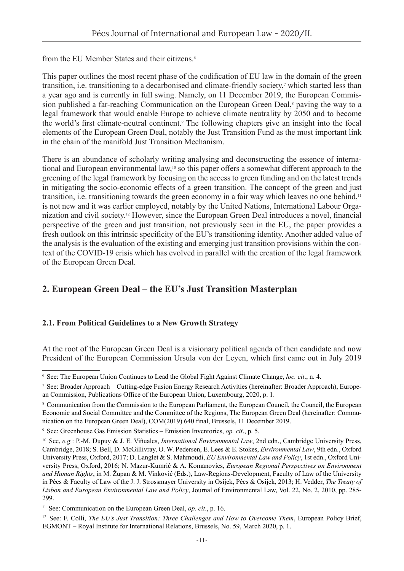from the EU Member States and their citizens.<sup>6</sup>

This paper outlines the most recent phase of the codification of EU law in the domain of the green transition, i.e. transitioning to a decarbonised and climate-friendly society,<sup>7</sup> which started less than a year ago and is currently in full swing. Namely, on 11 December 2019, the European Commission published a far-reaching Communication on the European Green Deal,<sup>8</sup> paving the way to a legal framework that would enable Europe to achieve climate neutrality by 2050 and to become the world's first climate-neutral continent.<sup>9</sup> The following chapters give an insight into the focal elements of the European Green Deal, notably the Just Transition Fund as the most important link in the chain of the manifold Just Transition Mechanism.

There is an abundance of scholarly writing analysing and deconstructing the essence of international and European environmental law,<sup>10</sup> so this paper offers a somewhat different approach to the greening of the legal framework by focusing on the access to green funding and on the latest trends in mitigating the socio-economic effects of a green transition. The concept of the green and just transition, i.e. transitioning towards the green economy in a fair way which leaves no one behind,<sup>11</sup> is not new and it was earlier employed, notably by the United Nations, International Labour Organization and civil society.12 However, since the European Green Deal introduces a novel, financial perspective of the green and just transition, not previously seen in the EU, the paper provides a fresh outlook on this intrinsic specificity of the EU's transitioning identity. Another added value of the analysis is the evaluation of the existing and emerging just transition provisions within the context of the COVID-19 crisis which has evolved in parallel with the creation of the legal framework of the European Green Deal.

## **2. European Green Deal – the EU's Just Transition Masterplan**

#### **2.1. From Political Guidelines to a New Growth Strategy**

At the root of the European Green Deal is a visionary political agenda of then candidate and now President of the European Commission Ursula von der Leyen, which first came out in July 2019

<sup>6</sup> See: The European Union Continues to Lead the Global Fight Against Climate Change, *loc. cit*., n. 4.

<sup>7</sup> See: Broader Approach – Cutting-edge Fusion Energy Research Activities (hereinafter: Broader Approach), European Commission, Publications Office of the European Union, Luxembourg, 2020, p. 1.

<sup>8</sup> Communication from the Commission to the European Parliament, the European Council, the Council, the European Economic and Social Committee and the Committee of the Regions, The European Green Deal (hereinafter: Communication on the European Green Deal), COM(2019) 640 final, Brussels, 11 December 2019.

<sup>9</sup> See: Greenhouse Gas Emission Statistics – Emission Inventories, *op. cit*., p. 5.

<sup>10</sup> See, *e.g.*: P.-M. Dupuy & J. E. Viñuales, *International Environmental Law*, 2nd edn., Cambridge University Press, Cambridge, 2018; S. Bell, D. McGillivray, O. W. Pedersen, E. Lees & E. Stokes, *Environmental Law*, 9th edn., Oxford University Press, Oxford, 2017; D. Langlet & S. Mahmoudi, *EU Environmental Law and Policy*, 1st edn., Oxford University Press, Oxford, 2016; N. Mazur-Kumrić & A. Komanovics, *European Regional Perspectives on Environment and Human Rights*, in M. Župan & M. Vinković (Eds.), Law-Regions-Development, Faculty of Law of the University in Pécs & Faculty of Law of the J. J. Strossmayer University in Osijek, Pécs & Osijek, 2013; H. Vedder, *The Treaty of Lisbon and European Environmental Law and Policy*, Journal of Environmental Law, Vol. 22, No. 2, 2010, pp. 285- 299.

<sup>&</sup>lt;sup>11</sup> See: Communication on the European Green Deal, *op. cit.*, p. 16.

<sup>&</sup>lt;sup>12</sup> See: F. Colli, *The EU's Just Transition: Three Challenges and How to Overcome Them*, European Policy Brief, EGMONT – Royal Institute for International Relations, Brussels, No. 59, March 2020, p. 1.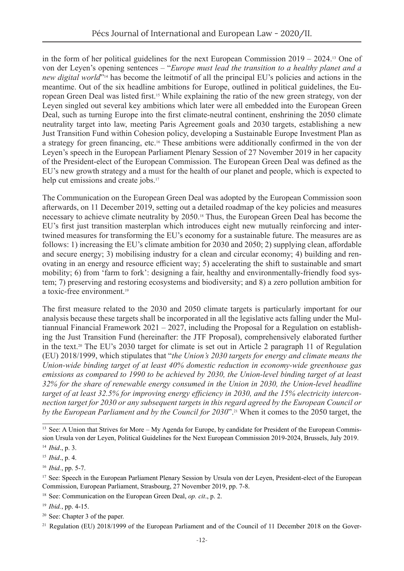in the form of her political guidelines for the next European Commission 2019 – 2024.13 One of von der Leyen's opening sentences – "*Europe must lead the transition to a healthy planet and a new digital world*"<sup>14</sup> has become the leitmotif of all the principal EU's policies and actions in the meantime. Out of the six headline ambitions for Europe, outlined in political guidelines, the European Green Deal was listed first.15 While explaining the ratio of the new green strategy, von der Leyen singled out several key ambitions which later were all embedded into the European Green Deal, such as turning Europe into the first climate-neutral continent, enshrining the 2050 climate neutrality target into law, meeting Paris Agreement goals and 2030 targets, establishing a new Just Transition Fund within Cohesion policy, developing a Sustainable Europe Investment Plan as a strategy for green financing, etc.16 These ambitions were additionally confirmed in the von der Leyen's speech in the European Parliament Plenary Session of 27 November 2019 in her capacity of the President-elect of the European Commission. The European Green Deal was defined as the EU's new growth strategy and a must for the health of our planet and people, which is expected to help cut emissions and create jobs.<sup>17</sup>

The Communication on the European Green Deal was adopted by the European Commission soon afterwards, on 11 December 2019, setting out a detailed roadmap of the key policies and measures necessary to achieve climate neutrality by 2050.18 Thus, the European Green Deal has become the EU's first just transition masterplan which introduces eight new mutually reinforcing and intertwined measures for transforming the EU's economy for a sustainable future. The measures are as follows: 1) increasing the EU's climate ambition for 2030 and 2050; 2) supplying clean, affordable and secure energy; 3) mobilising industry for a clean and circular economy; 4) building and renovating in an energy and resource efficient way; 5) accelerating the shift to sustainable and smart mobility; 6) from 'farm to fork': designing a fair, healthy and environmentally-friendly food system; 7) preserving and restoring ecosystems and biodiversity; and 8) a zero pollution ambition for a toxic-free environment.<sup>19</sup>

The first measure related to the 2030 and 2050 climate targets is particularly important for our analysis because these targets shall be incorporated in all the legislative acts falling under the Multiannual Financial Framework 2021 – 2027, including the Proposal for a Regulation on establishing the Just Transition Fund (hereinafter: the JTF Proposal), comprehensively elaborated further in the text.20 The EU's 2030 target for climate is set out in Article 2 paragraph 11 of Regulation (EU) 2018/1999, which stipulates that "*the Union's 2030 targets for energy and climate means the Union-wide binding target of at least 40% domestic reduction in economy-wide greenhouse gas emissions as compared to 1990 to be achieved by 2030, the Union-level binding target of at least 32% for the share of renewable energy consumed in the Union in 2030, the Union-level headline target of at least 32.5% for improving energy efficiency in 2030, and the 15% electricity interconnection target for 2030 or any subsequent targets in this regard agreed by the European Council or by the European Parliament and by the Council for 2030*".21 When it comes to the 2050 target, the

<sup>&</sup>lt;sup>13</sup> See: A Union that Strives for More – My Agenda for Europe, by candidate for President of the European Commission Ursula von der Leyen, Political Guidelines for the Next European Commission 2019-2024, Brussels, July 2019.

<sup>14</sup> *Ibid*., p. 3.

<sup>15</sup> *Ibid*., p. 4.

<sup>16</sup> *Ibid.*, pp. 5-7.

<sup>&</sup>lt;sup>17</sup> See: Speech in the European Parliament Plenary Session by Ursula von der Leyen, President-elect of the European Commission, European Parliament, Strasbourg, 27 November 2019, pp. 7-8.

<sup>18</sup> See: Communication on the European Green Deal, *op. cit*., p. 2.

<sup>19</sup> *Ibid.*, pp. 4-15.

<sup>20</sup> See: Chapter 3 of the paper.

<sup>&</sup>lt;sup>21</sup> Regulation (EU) 2018/1999 of the European Parliament and of the Council of 11 December 2018 on the Gover-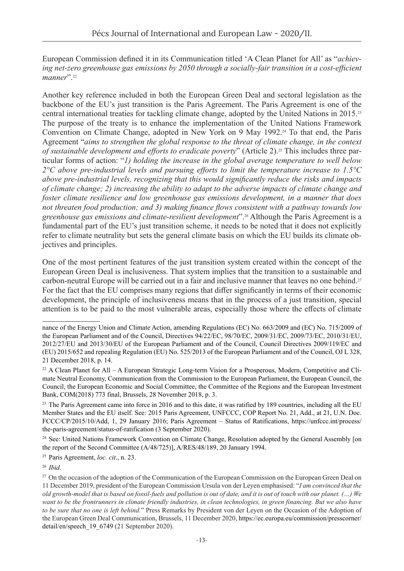European Commission defined it in its Communication titled 'A Clean Planet for All' as "*achieving net-zero greenhouse gas emissions by 2050 through a socially-fair transition in a cost-efficient manner*".<sup>22</sup>

Another key reference included in both the European Green Deal and sectoral legislation as the backbone of the EU's just transition is the Paris Agreement. The Paris Agreement is one of the central international treaties for tackling climate change, adopted by the United Nations in 2015.<sup>23</sup> The purpose of the treaty is to enhance the implementation of the United Nations Framework Convention on Climate Change, adopted in New York on 9 May 1992.<sup>24</sup> To that end, the Paris Agreement "*aims to strengthen the global response to the threat of climate change, in the context of sustainable development and efforts to eradicate poverty*" (Article 2).<sup>25</sup> This includes three particular forms of action: "*1) holding the increase in the global average temperature to well below 2°C above pre-industrial levels and pursuing efforts to limit the temperature increase to 1.5°C above pre-industrial levels, recognizing that this would significantly reduce the risks and impacts of climate change; 2) increasing the ability to adapt to the adverse impacts of climate change and foster climate resilience and low greenhouse gas emissions development, in a manner that does not threaten food production; and 3) making finance flows consistent with a pathway towards low greenhouse gas emissions and climate-resilient development*".26 Although the Paris Agreement is a fundamental part of the EU's just transition scheme, it needs to be noted that it does not explicitly refer to climate neutrality but sets the general climate basis on which the EU builds its climate objectives and principles.

One of the most pertinent features of the just transition system created within the concept of the European Green Deal is inclusiveness. That system implies that the transition to a sustainable and carbon-neutral Europe will be carried out in a fair and inclusive manner that leaves no one behind.<sup>27</sup> For the fact that the EU comprises many regions that differ significantly in terms of their economic development, the principle of inclusiveness means that in the process of a just transition, special attention is to be paid to the most vulnerable areas, especially those where the effects of climate

<sup>24</sup> See: United Nations Framework Convention on Climate Change, Resolution adopted by the General Assembly [on the report of the Second Committee (A/48/725)], A/RES/48/189, 20 January 1994.

<sup>25</sup> Paris Agreement, *loc. cit*., n. 23.

<sup>26</sup> *Ibid*.

nance of the Energy Union and Climate Action, amending Regulations (EC) No. 663/2009 and (EC) No. 715/2009 of the European Parliament and of the Council, Directives 94/22/EC, 98/70/EC, 2009/31/EC, 2009/73/EC, 2010/31/EU, 2012/27/EU and 2013/30/EU of the European Parliament and of the Council, Council Directives 2009/119/EC and (EU) 2015/652 and repealing Regulation (EU) No. 525/2013 of the European Parliament and of the Council, OJ L 328, 21 December 2018, p. 14.

<sup>&</sup>lt;sup>22</sup> A Clean Planet for All – A European Strategic Long-term Vision for a Prosperous, Modern, Competitive and Climate Neutral Economy, Communication from the Commission to the European Parliament, the European Council, the Council, the European Economic and Social Committee, the Committee of the Regions and the European Investment Bank, COM(2018) 773 final, Brussels, 28 November 2018, p. 3.

 $23$  The Paris Agreement came into force in 2016 and to this date, it was ratified by 189 countries, including all the EU Member States and the EU itself. See: 2015 Paris Agreement, UNFCCC, COP Report No. 21, Add., at 21, U.N. Doc. FCCC/CP/2015/10/Add, 1, 29 January 2016; Paris Agreement – Status of Ratifications, [https://unfccc.int/process/](https://unfccc.int/process/the-paris-agreement/status-of-ratification) [the-paris-agreement/status-of-ratification](https://unfccc.int/process/the-paris-agreement/status-of-ratification) (3 September 2020).

<sup>&</sup>lt;sup>27</sup> On the occasion of the adoption of the Communication of the European Commission on the European Green Deal on 11 December 2019, president of the European Commission Ursula von der Leyen emphasised: "*I am convinced that the old growth-model that is based on fossil-fuels and pollution is out of date, and it is out of touch with our planet. (…) We want to be the frontrunners in climate friendly industries, in clean technologies, in green financing. But we also have to be sure that no one is left behind.*" Press Remarks by President von der Leyen on the Occasion of the Adoption of the European Green Deal Communication, Brussels, 11 December 2020, [https://ec.europa.eu/commission/presscorner/](https://ec.europa.eu/commission/presscorner/detail/en/speech_19_6749) [detail/en/speech\\_19\\_6749](https://ec.europa.eu/commission/presscorner/detail/en/speech_19_6749) (21 September 2020).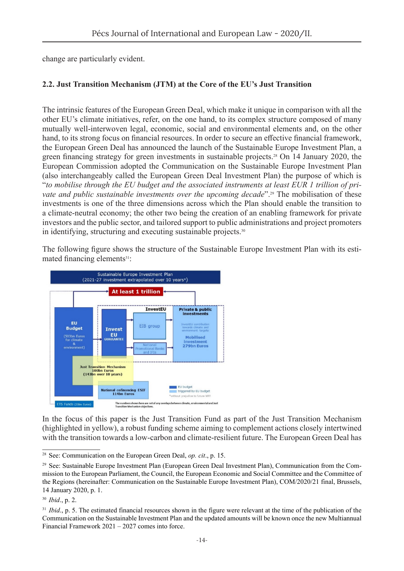change are particularly evident.

#### **2.2. Just Transition Mechanism (JTM) at the Core of the EU's Just Transition**

The intrinsic features of the European Green Deal, which make it unique in comparison with all the other EU's climate initiatives, refer, on the one hand, to its complex structure composed of many mutually well-interwoven legal, economic, social and environmental elements and, on the other hand, to its strong focus on financial resources. In order to secure an effective financial framework, the European Green Deal has announced the launch of the Sustainable Europe Investment Plan, a green financing strategy for green investments in sustainable projects.<sup>28</sup> On 14 January 2020, the European Commission adopted the Communication on the Sustainable Europe Investment Plan (also interchangeably called the European Green Deal Investment Plan) the purpose of which is "*to mobilise through the EU budget and the associated instruments at least EUR 1 trillion of private and public sustainable investments over the upcoming decade*".<sup>29</sup> The mobilisation of these investments is one of the three dimensions across which the Plan should enable the transition to a climate-neutral economy; the other two being the creation of an enabling framework for private investors and the public sector, and tailored support to public administrations and project promoters in identifying, structuring and executing sustainable projects.<sup>30</sup>

The following figure shows the structure of the Sustainable Europe Investment Plan with its estimated financing elements<sup>31</sup>:



In the focus of this paper is the Just Transition Fund as part of the Just Transition Mechanism (highlighted in yellow), a robust funding scheme aiming to complement actions closely intertwined with the transition towards a low-carbon and climate-resilient future. The European Green Deal has

<sup>28</sup> See: Communication on the European Green Deal, *op. cit*., p. 15.

<sup>29</sup> See: Sustainable Europe Investment Plan (European Green Deal Investment Plan), Communication from the Commission to the European Parliament, the Council, the European Economic and Social Committee and the Committee of the Regions (hereinafter: Communication on the Sustainable Europe Investment Plan), COM/2020/21 final, Brussels, 14 January 2020, p. 1.

<sup>30</sup> *Ibid*., p. 2.

<sup>&</sup>lt;sup>31</sup> *Ibid.*, p. 5. The estimated financial resources shown in the figure were relevant at the time of the publication of the Communication on the Sustainable Investment Plan and the updated amounts will be known once the new Multiannual Financial Framework 2021 – 2027 comes into force.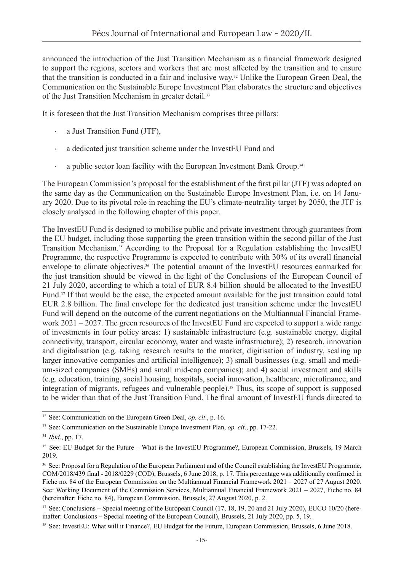announced the introduction of the Just Transition Mechanism as a financial framework designed to support the regions, sectors and workers that are most affected by the transition and to ensure that the transition is conducted in a fair and inclusive way.32 Unlike the European Green Deal, the Communication on the Sustainable Europe Investment Plan elaborates the structure and objectives of the Just Transition Mechanism in greater detail.<sup>33</sup>

It is foreseen that the Just Transition Mechanism comprises three pillars:

- a Just Transition Fund (JTF),
- a dedicated just transition scheme under the InvestEU Fund and
- a public sector loan facility with the European Investment Bank Group.<sup>34</sup>

The European Commission's proposal for the establishment of the first pillar (JTF) was adopted on the same day as the Communication on the Sustainable Europe Investment Plan, i.e. on 14 January 2020. Due to its pivotal role in reaching the EU's climate-neutrality target by 2050, the JTF is closely analysed in the following chapter of this paper.

The InvestEU Fund is designed to mobilise public and private investment through guarantees from the EU budget, including those supporting the green transition within the second pillar of the Just Transition Mechanism.35 According to the Proposal for a Regulation establishing the InvestEU Programme, the respective Programme is expected to contribute with 30% of its overall financial envelope to climate objectives.36 The potential amount of the InvestEU resources earmarked for the just transition should be viewed in the light of the Conclusions of the European Council of 21 July 2020, according to which a total of EUR 8.4 billion should be allocated to the InvestEU Fund.37 If that would be the case, the expected amount available for the just transition could total EUR 2.8 billion. The final envelope for the dedicated just transition scheme under the InvestEU Fund will depend on the outcome of the current negotiations on the Multiannual Financial Framework  $2021 - 2027$ . The green resources of the InvestEU Fund are expected to support a wide range of investments in four policy areas: 1) sustainable infrastructure (e.g. sustainable energy, digital connectivity, transport, circular economy, water and waste infrastructure); 2) research, innovation and digitalisation (e.g. taking research results to the market, digitisation of industry, scaling up larger innovative companies and artificial intelligence); 3) small businesses (e.g. small and medium-sized companies (SMEs) and small mid-cap companies); and 4) social investment and skills (e.g. education, training, social housing, hospitals, social innovation, healthcare, microfinance, and integration of migrants, refugees and vulnerable people).38 Thus, its scope of support is supposed to be wider than that of the Just Transition Fund. The final amount of InvestEU funds directed to

<sup>32</sup> See: Communication on the European Green Deal, *op. cit*., p. 16.

<sup>33</sup> See: Communication on the Sustainable Europe Investment Plan, *op. cit*., pp. 17-22.

<sup>34</sup> *Ibid*., pp. 17.

<sup>&</sup>lt;sup>35</sup> See: EU Budget for the Future – What is the InvestEU Programme?, European Commission, Brussels, 19 March 2019.

<sup>&</sup>lt;sup>36</sup> See: Proposal for a Regulation of the European Parliament and of the Council establishing the InvestEU Programme, COM/2018/439 final - 2018/0229 (COD), Brussels, 6 June 2018, p. 17. This percentage was additionally confirmed in Fiche no. 84 of the European Commission on the Multiannual Financial Framework 2021 – 2027 of 27 August 2020. See: Working Document of the Commission Services, Multiannual Financial Framework 2021 – 2027, Fiche no. 84 (hereinafter: Fiche no. 84), European Commission, Brussels, 27 August 2020, p. 2.

 $37$  See: Conclusions – Special meeting of the European Council (17, 18, 19, 20 and 21 July 2020), EUCO 10/20 (hereinafter: Conclusions – Special meeting of the European Council), Brussels, 21 July 2020, pp. 5, 19.

<sup>38</sup> See: InvestEU: What will it Finance?, EU Budget for the Future, European Commission, Brussels, 6 June 2018.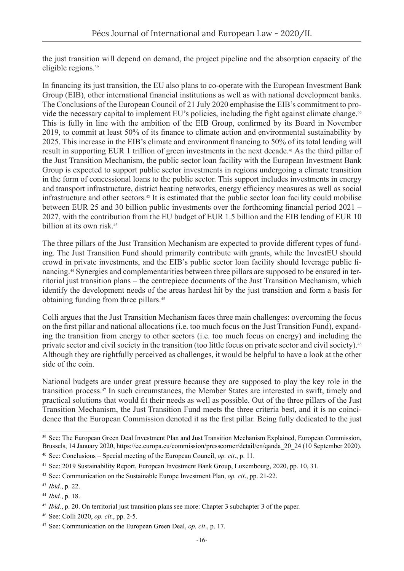the just transition will depend on demand, the project pipeline and the absorption capacity of the eligible regions.<sup>39</sup>

In financing its just transition, the EU also plans to co-operate with the European Investment Bank Group (EIB), other international financial institutions as well as with national development banks. The Conclusions of the European Council of 21 July 2020 emphasise the EIB's commitment to provide the necessary capital to implement EU's policies, including the fight against climate change.<sup>40</sup> This is fully in line with the ambition of the EIB Group, confirmed by its Board in November 2019, to commit at least 50% of its finance to climate action and environmental sustainability by 2025. This increase in the EIB's climate and environment financing to 50% of its total lending will result in supporting EUR 1 trillion of green investments in the next decade.<sup>41</sup> As the third pillar of the Just Transition Mechanism, the public sector loan facility with the European Investment Bank Group is expected to support public sector investments in regions undergoing a climate transition in the form of concessional loans to the public sector. This support includes investments in energy and transport infrastructure, district heating networks, energy efficiency measures as well as social infrastructure and other sectors.42 It is estimated that the public sector loan facility could mobilise between EUR 25 and 30 billion public investments over the forthcoming financial period 2021 – 2027, with the contribution from the EU budget of EUR 1.5 billion and the EIB lending of EUR 10 billion at its own risk.<sup>43</sup>

The three pillars of the Just Transition Mechanism are expected to provide different types of funding. The Just Transition Fund should primarily contribute with grants, while the InvestEU should crowd in private investments, and the EIB's public sector loan facility should leverage public financing.44 Synergies and complementarities between three pillars are supposed to be ensured in territorial just transition plans – the centrepiece documents of the Just Transition Mechanism, which identify the development needs of the areas hardest hit by the just transition and form a basis for obtaining funding from three pillars.<sup>45</sup>

Colli argues that the Just Transition Mechanism faces three main challenges: overcoming the focus on the first pillar and national allocations (i.e. too much focus on the Just Transition Fund), expanding the transition from energy to other sectors (i.e. too much focus on energy) and including the private sector and civil society in the transition (too little focus on private sector and civil society).<sup>46</sup> Although they are rightfully perceived as challenges, it would be helpful to have a look at the other side of the coin.

National budgets are under great pressure because they are supposed to play the key role in the transition process.47 In such circumstances, the Member States are interested in swift, timely and practical solutions that would fit their needs as well as possible. Out of the three pillars of the Just Transition Mechanism, the Just Transition Fund meets the three criteria best, and it is no coincidence that the European Commission denoted it as the first pillar. Being fully dedicated to the just

<sup>&</sup>lt;sup>39</sup> See: The European Green Deal Investment Plan and Just Transition Mechanism Explained, European Commission, Brussels, 14 January 2020, [https://ec.europa.eu/commission/presscorner/detail/en/qanda\\_20\\_24](https://ec.europa.eu/commission/presscorner/detail/en/qanda_20_24) (10 September 2020).

<sup>40</sup> See: Conclusions – Special meeting of the European Council, *op. cit*., p. 11.

<sup>41</sup> See: 2019 Sustainability Report, European Investment Bank Group, Luxembourg, 2020, pp. 10, 31.

<sup>42</sup> See: Communication on the Sustainable Europe Investment Plan, *op. cit*., pp. 21-22.

<sup>43</sup> *Ibid.*, p. 22.

<sup>44</sup> *Ibid.*, p. 18.

<sup>45</sup> *Ibid.*, p. 20. On territorial just transition plans see more: Chapter 3 subchapter 3 of the paper.

<sup>46</sup> See: Colli 2020, *op. cit*., pp. 2-5.

<sup>47</sup> See: Communication on the European Green Deal, *op. cit*., p. 17.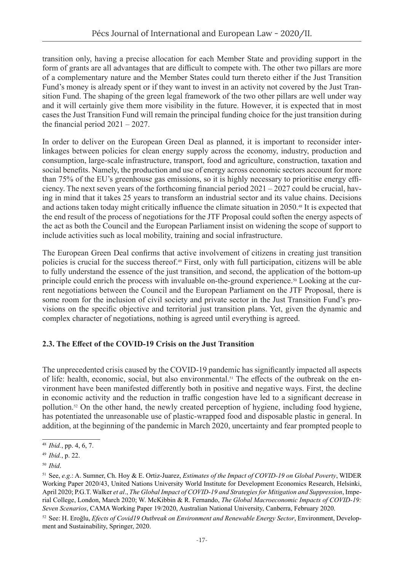transition only, having a precise allocation for each Member State and providing support in the form of grants are all advantages that are difficult to compete with. The other two pillars are more of a complementary nature and the Member States could turn thereto either if the Just Transition Fund's money is already spent or if they want to invest in an activity not covered by the Just Transition Fund. The shaping of the green legal framework of the two other pillars are well under way and it will certainly give them more visibility in the future. However, it is expected that in most cases the Just Transition Fund will remain the principal funding choice for the just transition during the financial period 2021 – 2027.

In order to deliver on the European Green Deal as planned, it is important to reconsider interlinkages between policies for clean energy supply across the economy, industry, production and consumption, large-scale infrastructure, transport, food and agriculture, construction, taxation and social benefits. Namely, the production and use of energy across economic sectors account for more than 75% of the EU's greenhouse gas emissions, so it is highly necessary to prioritise energy efficiency. The next seven years of the forthcoming financial period 2021 – 2027 could be crucial, having in mind that it takes 25 years to transform an industrial sector and its value chains. Decisions and actions taken today might critically influence the climate situation in 2050.48 It is expected that the end result of the process of negotiations for the JTF Proposal could soften the energy aspects of the act as both the Council and the European Parliament insist on widening the scope of support to include activities such as local mobility, training and social infrastructure.

The European Green Deal confirms that active involvement of citizens in creating just transition policies is crucial for the success thereof.49 First, only with full participation, citizens will be able to fully understand the essence of the just transition, and second, the application of the bottom-up principle could enrich the process with invaluable on-the-ground experience.50 Looking at the current negotiations between the Council and the European Parliament on the JTF Proposal, there is some room for the inclusion of civil society and private sector in the Just Transition Fund's provisions on the specific objective and territorial just transition plans. Yet, given the dynamic and complex character of negotiations, nothing is agreed until everything is agreed.

#### **2.3. The Effect of the COVID-19 Crisis on the Just Transition**

The unprecedented crisis caused by the COVID-19 pandemic has significantly impacted all aspects of life: health, economic, social, but also environmental.51 The effects of the outbreak on the environment have been manifested differently both in positive and negative ways. First, the decline in economic activity and the reduction in traffic congestion have led to a significant decrease in pollution.52 On the other hand, the newly created perception of hygiene, including food hygiene, has potentiated the unreasonable use of plastic-wrapped food and disposable plastic in general. In addition, at the beginning of the pandemic in March 2020, uncertainty and fear prompted people to

<sup>48</sup> *Ibid.*, pp. 4, 6, 7.

<sup>49</sup> *Ibid.*, p. 22.

<sup>50</sup> *Ibid*.

<sup>51</sup> See, *e.g*.: A. Sumner, Ch. Hoy & E. Ortiz-Juarez, *Estimates of the Impact of COVID-19 on Global Poverty*, WIDER Working Paper 2020/43, United Nations University World Institute for Development Economics Research, Helsinki, April 2020; P.G.T. Walker *et al*., *The Global Impact of COVID-19 and Strategies for Mitigation and Suppression*, Imperial College, London, March 2020; W. McKibbin & R. Fernando, *The Global Macroeconomic Impacts of COVID-19: Seven Scenarios*, CAMA Working Paper 19/2020, Australian National University, Canberra, February 2020.

<sup>52</sup> See: H. Eroğlu, *Efects of Covid19 Outbreak on Environment and Renewable Energy Sector*, Environment, Development and Sustainability, Springer, 2020.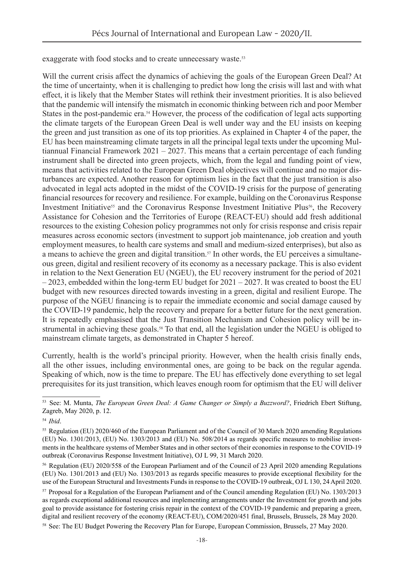exaggerate with food stocks and to create unnecessary waste.<sup>53</sup>

Will the current crisis affect the dynamics of achieving the goals of the European Green Deal? At the time of uncertainty, when it is challenging to predict how long the crisis will last and with what effect, it is likely that the Member States will rethink their investment priorities. It is also believed that the pandemic will intensify the mismatch in economic thinking between rich and poor Member States in the post-pandemic era.<sup>54</sup> However, the process of the codification of legal acts supporting the climate targets of the European Green Deal is well under way and the EU insists on keeping the green and just transition as one of its top priorities. As explained in Chapter 4 of the paper, the EU has been mainstreaming climate targets in all the principal legal texts under the upcoming Multiannual Financial Framework 2021 – 2027. This means that a certain percentage of each funding instrument shall be directed into green projects, which, from the legal and funding point of view, means that activities related to the European Green Deal objectives will continue and no major disturbances are expected. Another reason for optimism lies in the fact that the just transition is also advocated in legal acts adopted in the midst of the COVID-19 crisis for the purpose of generating financial resources for recovery and resilience. For example, building on the Coronavirus Response Investment Initiative<sup>55</sup> and the Coronavirus Response Investment Initiative Plus<sup>56</sup>, the Recovery Assistance for Cohesion and the Territories of Europe (REACT-EU) should add fresh additional resources to the existing Cohesion policy programmes not only for crisis response and crisis repair measures across economic sectors (investment to support job maintenance, job creation and youth employment measures, to health care systems and small and medium-sized enterprises), but also as a means to achieve the green and digital transition.<sup>57</sup> In other words, the EU perceives a simultaneous green, digital and resilient recovery of its economy as a necessary package. This is also evident in relation to the Next Generation EU (NGEU), the EU recovery instrument for the period of 2021  $-2023$ , embedded within the long-term EU budget for  $2021 - 2027$ . It was created to boost the EU budget with new resources directed towards investing in a green, digital and resilient Europe. The purpose of the NGEU financing is to repair the immediate economic and social damage caused by the COVID-19 pandemic, help the recovery and prepare for a better future for the next generation. It is repeatedly emphasised that the Just Transition Mechanism and Cohesion policy will be instrumental in achieving these goals.<sup>58</sup> To that end, all the legislation under the NGEU is obliged to mainstream climate targets, as demonstrated in Chapter 5 hereof.

Currently, health is the world's principal priority. However, when the health crisis finally ends, all the other issues, including environmental ones, are going to be back on the regular agenda. Speaking of which, now is the time to prepare. The EU has effectively done everything to set legal prerequisites for its just transition, which leaves enough room for optimism that the EU will deliver

<sup>53</sup> See: M. Munta, *The European Green Deal: A Game Changer or Simply a Buzzword?*, Friedrich Ebert Stiftung, Zagreb, May 2020, p. 12.

<sup>54</sup> *Ibid*.

<sup>55</sup> Regulation (EU) 2020/460 of the European Parliament and of the Council of 30 March 2020 amending Regulations (EU) No. 1301/2013, (EU) No. 1303/2013 and (EU) No. 508/2014 as regards specific measures to mobilise investments in the healthcare systems of Member States and in other sectors of their economies in response to the COVID-19 outbreak (Coronavirus Response Investment Initiative), OJ L 99, 31 March 2020.

<sup>56</sup> Regulation (EU) 2020/558 of the European Parliament and of the Council of 23 April 2020 amending Regulations (EU) No. 1301/2013 and (EU) No. 1303/2013 as regards specific measures to provide exceptional flexibility for the use of the European Structural and Investments Funds in response to the COVID-19 outbreak, OJ L 130, 24 April 2020.

<sup>57</sup> Proposal for a Regulation of the European Parliament and of the Council amending Regulation (EU) No. 1303/2013 as regards exceptional additional resources and implementing arrangements under the Investment for growth and jobs goal to provide assistance for fostering crisis repair in the context of the COVID-19 pandemic and preparing a green, digital and resilient recovery of the economy (REACT-EU), COM/2020/451 final, Brussels, Brussels, 28 May 2020.

<sup>58</sup> See: The EU Budget Powering the Recovery Plan for Europe, European Commission, Brussels, 27 May 2020.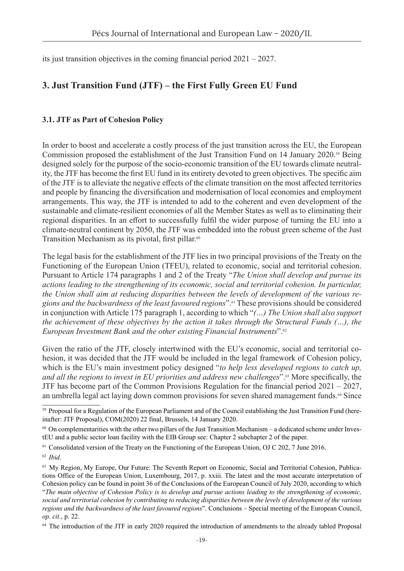its just transition objectives in the coming financial period 2021 – 2027.

## **3. Just Transition Fund (JTF) – the First Fully Green EU Fund**

#### **3.1. JTF as Part of Cohesion Policy**

In order to boost and accelerate a costly process of the just transition across the EU, the European Commission proposed the establishment of the Just Transition Fund on 14 January 2020.59 Being designed solely for the purpose of the socio-economic transition of the EU towards climate neutrality, the JTF has become the first EU fund in its entirety devoted to green objectives. The specific aim of the JTF is to alleviate the negative effects of the climate transition on the most affected territories and people by financing the diversification and modernisation of local economies and employment arrangements. This way, the JTF is intended to add to the coherent and even development of the sustainable and climate-resilient economies of all the Member States as well as to eliminating their regional disparities. In an effort to successfully fulfil the wider purpose of turning the EU into a climate-neutral continent by 2050, the JTF was embedded into the robust green scheme of the Just Transition Mechanism as its pivotal, first pillar.<sup>60</sup>

The legal basis for the establishment of the JTF lies in two principal provisions of the Treaty on the Functioning of the European Union (TFEU), related to economic, social and territorial cohesion. Pursuant to Article 174 paragraphs 1 and 2 of the Treaty "*The Union shall develop and pursue its actions leading to the strengthening of its economic, social and territorial cohesion. In particular, the Union shall aim at reducing disparities between the levels of development of the various regions and the backwardness of the least favoured regions*".61 These provisions should be considered in conjunction with Article 175 paragraph 1, according to which "*(…) The Union shall also support the achievement of these objectives by the action it takes through the Structural Funds (…), the European Investment Bank and the other existing Financial Instruments*".<sup>62</sup>

Given the ratio of the JTF, closely intertwined with the EU's economic, social and territorial cohesion, it was decided that the JTF would be included in the legal framework of Cohesion policy, which is the EU's main investment policy designed "*to help less developed regions to catch up, and all the regions to invest in EU priorities and address new challenges*".63 More specifically, the JTF has become part of the Common Provisions Regulation for the financial period 2021 – 2027, an umbrella legal act laying down common provisions for seven shared management funds.<sup>64</sup> Since

<sup>&</sup>lt;sup>59</sup> Proposal for a Regulation of the European Parliament and of the Council establishing the Just Transition Fund (hereinafter: JTF Proposal), COM(2020) 22 final, Brussels, 14 January 2020.

 $60$  On complementarities with the other two pillars of the Just Transition Mechanism – a dedicated scheme under InvestEU and a public sector loan facility with the EIB Group see: Chapter 2 subchapter 2 of the paper.

<sup>&</sup>lt;sup>61</sup> Consolidated version of the Treaty on the Functioning of the European Union, OJ C 202, 7 June 2016.

<sup>62</sup> *Ibid*.

<sup>&</sup>lt;sup>63</sup> My Region, My Europe, Our Future: The Seventh Report on Economic, Social and Territorial Cohesion, Publications Office of the European Union, Luxembourg, 2017, p. xxiii. The latest and the most accurate interpretation of Cohesion policy can be found in point 36 of the Conclusions of the European Council of July 2020, according to which "*The main objective of Cohesion Policy is to develop and pursue actions leading to the strengthening of economic, social and territorial cohesion by contributing to reducing disparities between the levels of development of the various regions and the backwardness of the least favoured regions*". Conclusions – Special meeting of the European Council, *op. cit.*, p. 22.

<sup>&</sup>lt;sup>64</sup> The introduction of the JTF in early 2020 required the introduction of amendments to the already tabled Proposal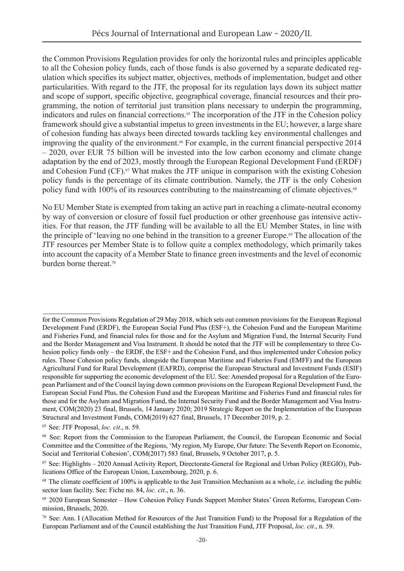the Common Provisions Regulation provides for only the horizontal rules and principles applicable to all the Cohesion policy funds, each of those funds is also governed by a separate dedicated regulation which specifies its subject matter, objectives, methods of implementation, budget and other particularities. With regard to the JTF, the proposal for its regulation lays down its subject matter and scope of support, specific objective, geographical coverage, financial resources and their programming, the notion of territorial just transition plans necessary to underpin the programming, indicators and rules on financial corrections.<sup>65</sup> The incorporation of the JTF in the Cohesion policy framework should give a substantial impetus to green investments in the EU; however, a large share of cohesion funding has always been directed towards tackling key environmental challenges and improving the quality of the environment.<sup>66</sup> For example, in the current financial perspective 2014 – 2020, over EUR 75 billion will be invested into the low carbon economy and climate change adaptation by the end of 2023, mostly through the European Regional Development Fund (ERDF) and Cohesion Fund (CF).67 What makes the JTF unique in comparison with the existing Cohesion policy funds is the percentage of its climate contribution. Namely, the JTF is the only Cohesion policy fund with 100% of its resources contributing to the mainstreaming of climate objectives.<sup>68</sup>

No EU Member State is exempted from taking an active part in reaching a climate-neutral economy by way of conversion or closure of fossil fuel production or other greenhouse gas intensive activities. For that reason, the JTF funding will be available to all the EU Member States, in line with the principle of 'leaving no one behind in the transition to a greener Europe.<sup>69</sup> The allocation of the JTF resources per Member State is to follow quite a complex methodology, which primarily takes into account the capacity of a Member State to finance green investments and the level of economic burden borne thereat.<sup>70</sup>

for the Common Provisions Regulation of 29 May 2018, which sets out common provisions for the European Regional Development Fund (ERDF), the European Social Fund Plus (ESF+), the Cohesion Fund and the European Maritime and Fisheries Fund, and financial rules for those and for the Asylum and Migration Fund, the Internal Security Fund and the Border Management and Visa Instrument. It should be noted that the JTF will be complementary to three Cohesion policy funds only – the ERDF, the ESF+ and the Cohesion Fund, and thus implemented under Cohesion policy rules. Those Cohesion policy funds, alongside the European Maritime and Fisheries Fund (EMFF) and the European Agricultural Fund for Rural Development (EAFRD), comprise the European Structural and Investment Funds (ESIF) responsible for supporting the economic development of the EU. See: Amended proposal for a Regulation of the European Parliament and of the Council laying down common provisions on the European Regional Development Fund, the European Social Fund Plus, the Cohesion Fund and the European Maritime and Fisheries Fund and financial rules for those and for the Asylum and Migration Fund, the Internal Security Fund and the Border Management and Visa Instrument, COM(2020) 23 final, Brussels, 14 January 2020; 2019 Strategic Report on the Implementation of the European Structural and Investment Funds, COM(2019) 627 final, Brussels, 17 December 2019, p. 2.

<sup>65</sup> See: JTF Proposal, *loc. cit*., n. 59.

<sup>66</sup> See: Report from the Commission to the European Parliament, the Council, the European Economic and Social Committee and the Committee of the Regions, 'My region, My Europe, Our future: The Seventh Report on Economic, Social and Territorial Cohesion', COM(2017) 583 final, Brussels, 9 October 2017, p. 5.

 $67$  See: Highlights – 2020 Annual Activity Report, Directorate-General for Regional and Urban Policy (REGIO), Publications Office of the European Union, Luxembourg, 2020, p. 6.

<sup>68</sup> The climate coefficient of 100% is applicable to the Just Transition Mechanism as a whole, *i.e.* including the public sector loan facility. See: Fiche no. 84, *loc. cit*., n. 36.

<sup>69</sup> 2020 European Semester – How Cohesion Policy Funds Support Member States' Green Reforms, European Commission, Brussels, 2020.

 $70$  See: Ann. I (Allocation Method for Resources of the Just Transition Fund) to the Proposal for a Regulation of the European Parliament and of the Council establishing the Just Transition Fund, JTF Proposal, *loc. cit*., n. 59.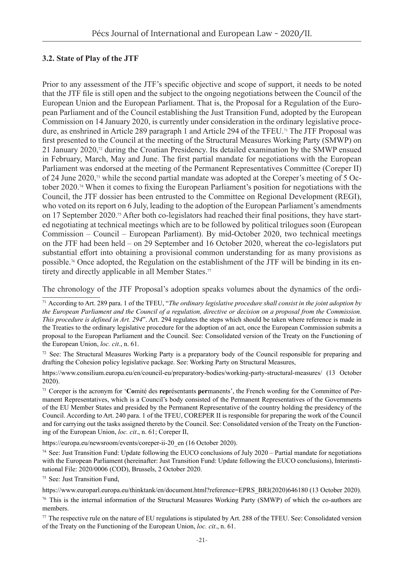#### **3.2. State of Play of the JTF**

Prior to any assessment of the JTF's specific objective and scope of support, it needs to be noted that the JTF file is still open and the subject to the ongoing negotiations between the Council of the European Union and the European Parliament. That is, the Proposal for a Regulation of the European Parliament and of the Council establishing the Just Transition Fund, adopted by the European Commission on 14 January 2020, is currently under consideration in the ordinary legislative procedure, as enshrined in Article 289 paragraph 1 and Article 294 of the TFEU.<sup>71</sup> The JTF Proposal was first presented to the Council at the meeting of the Structural Measures Working Party (SMWP) on 21 January 2020, $\alpha$  during the Croatian Presidency. Its detailed examination by the SMWP ensued in February, March, May and June. The first partial mandate for negotiations with the European Parliament was endorsed at the meeting of the Permanent Representatives Committee (Coreper II) of 24 June 2020,73 while the second partial mandate was adopted at the Coreper's meeting of 5 October 2020.74 When it comes to fixing the European Parliament's position for negotiations with the Council, the JTF dossier has been entrusted to the Committee on Regional Development (REGI), who voted on its report on 6 July, leading to the adoption of the European Parliament's amendments on 17 September 2020.75 After both co-legislators had reached their final positions, they have started negotiating at technical meetings which are to be followed by political trilogues soon (European Commission – Council – European Parliament). By mid-October 2020, two technical meetings on the JTF had been held – on 29 September and 16 October 2020, whereat the co-legislators put substantial effort into obtaining a provisional common understanding for as many provisions as possible.76 Once adopted, the Regulation on the establishment of the JTF will be binding in its entirety and directly applicable in all Member States.<sup>77</sup>

The chronology of the JTF Proposal's adoption speaks volumes about the dynamics of the ordi-

 $72$  See: The Structural Measures Working Party is a preparatory body of the Council responsible for preparing and drafting the Cohesion policy legislative package. See: Working Party on Structural Measures,

<https://www.consilium.europa.eu/en/council-eu/preparatory-bodies/working-party-structural-measures/>(13 October 2020).

73 Coreper is the acronym for '**Co**mité des **rep**résentants **per**manents', the French wording for the Committee of Permanent Representatives, which is a Council's body consisted of the Permanent Representatives of the Governments of the EU Member States and presided by the Permanent Representative of the country holding the presidency of the Council. According to Art. 240 para. 1 of the TFEU, COREPER II is responsible for preparing the work of the Council and for carrying out the tasks assigned thereto by the Council. See: Consolidated version of the Treaty on the Functioning of the European Union, *loc. cit*., n. 61; Coreper II,

[https://europa.eu/newsroom/events/coreper-ii-20\\_en](https://europa.eu/newsroom/events/coreper-ii-20_en) (16 October 2020).

 $74$  See: Just Transition Fund: Update following the EUCO conclusions of July 2020 – Partial mandate for negotiations with the European Parliament (hereinafter: Just Transition Fund: Update following the EUCO conclusions), Interinstitutional File: 2020/0006 (COD), Brussels, 2 October 2020.

75 See: Just Transition Fund,

76 This is the internal information of the Structural Measures Working Party (SMWP) of which the co-authors are members.

 $77$  The respective rule on the nature of EU regulations is stipulated by Art. 288 of the TFEU. See: Consolidated version of the Treaty on the Functioning of the European Union, *loc. cit*., n. 61.

<sup>71</sup> According to Art. 289 para. 1 of the TFEU, "*The ordinary legislative procedure shall consist in the joint adoption by the European Parliament and the Council of a regulation, directive or decision on a proposal from the Commission. This procedure is defined in Art. 294*". Art. 294 regulates the steps which should be taken where reference is made in the Treaties to the ordinary legislative procedure for the adoption of an act, once the European Commission submits a proposal to the European Parliament and the Council. See: Consolidated version of the Treaty on the Functioning of the European Union, *loc. cit*., n. 61.

[https://www.europarl.europa.eu/thinktank/en/document.html?reference=EPRS\\_BRI\(2020\)646180](https://www.europarl.europa.eu/thinktank/en/document.html?reference=EPRS_BRI(2020)646180) (13 October 2020).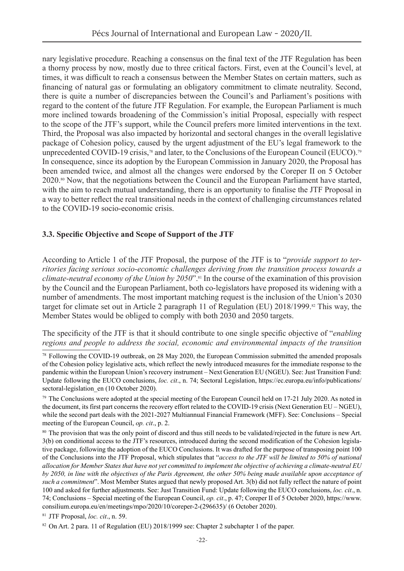nary legislative procedure. Reaching a consensus on the final text of the JTF Regulation has been a thorny process by now, mostly due to three critical factors. First, even at the Council's level, at times, it was difficult to reach a consensus between the Member States on certain matters, such as financing of natural gas or formulating an obligatory commitment to climate neutrality. Second, there is quite a number of discrepancies between the Council's and Parliament's positions with regard to the content of the future JTF Regulation. For example, the European Parliament is much more inclined towards broadening of the Commission's initial Proposal, especially with respect to the scope of the JTF's support, while the Council prefers more limited interventions in the text. Third, the Proposal was also impacted by horizontal and sectoral changes in the overall legislative package of Cohesion policy, caused by the urgent adjustment of the EU's legal framework to the unprecedented COVID-19 crisis,<sup>78</sup> and later, to the Conclusions of the European Council (EUCO).<sup>79</sup> In consequence, since its adoption by the European Commission in January 2020, the Proposal has been amended twice, and almost all the changes were endorsed by the Coreper II on 5 October 2020.80 Now, that the negotiations between the Council and the European Parliament have started, with the aim to reach mutual understanding, there is an opportunity to finalise the JTF Proposal in a way to better reflect the real transitional needs in the context of challenging circumstances related to the COVID-19 socio-economic crisis.

#### **3.3. Specific Objective and Scope of Support of the JTF**

According to Article 1 of the JTF Proposal, the purpose of the JTF is to "*provide support to territories facing serious socio-economic challenges deriving from the transition process towards a climate-neutral economy of the Union by 2050*".81 In the course of the examination of this provision by the Council and the European Parliament, both co-legislators have proposed its widening with a number of amendments. The most important matching request is the inclusion of the Union's 2030 target for climate set out in Article 2 paragraph 11 of Regulation (EU) 2018/1999.<sup>82</sup> This way, the Member States would be obliged to comply with both 2030 and 2050 targets.

The specificity of the JTF is that it should contribute to one single specific objective of "*enabling regions and people to address the social, economic and environmental impacts of the transition* 

81 JTF Proposal, *loc. cit*., n. 59.

<sup>78</sup> Following the COVID-19 outbreak, on 28 May 2020, the European Commission submitted the amended proposals of the Cohesion policy legislative acts, which reflect the newly introduced measures for the immediate response to the pandemic within the European Union's recovery instrument – Next Generation EU (NGEU). See: Just Transition Fund: Update following the EUCO conclusions, *loc. cit*., n. 74; Sectoral Legislation, [https://ec.europa.eu/info/publications/](https://ec.europa.eu/info/publications/sectoral-legislation_en) [sectoral-legislation\\_en](https://ec.europa.eu/info/publications/sectoral-legislation_en) (10 October 2020).

 $79$  The Conclusions were adopted at the special meeting of the European Council held on 17-21 July 2020. As noted in the document, its first part concerns the recovery effort related to the COVID-19 crisis (Next Generation EU – NGEU), while the second part deals with the 2021-2027 Multiannual Financial Framework (MFF). See: Conclusions – Special meeting of the European Council, *op. cit*., p. 2.

<sup>&</sup>lt;sup>80</sup> The provision that was the only point of discord and thus still needs to be validated/rejected in the future is new Art. 3(b) on conditional access to the JTF's resources, introduced during the second modification of the Cohesion legislative package, following the adoption of the EUCO Conclusions. It was drafted for the purpose of transposing point 100 of the Conclusions into the JTF Proposal, which stipulates that "*access to the JTF will be limited to 50% of national allocation for Member States that have not yet committed to implement the objective of achieving a climate-neutral EU by 2050, in line with the objectives of the Paris Agreement, the other 50% being made available upon acceptance of such a commitment*". Most Member States argued that newly proposed Art. 3(b) did not fully reflect the nature of point 100 and asked for further adjustments. See: Just Transition Fund: Update following the EUCO conclusions, *loc. cit*., n. 74; Conclusions – Special meeting of the European Council, *op. cit*., p. 47; Coreper II of 5 October 2020, [https://www.](https://www.consilium.europa.eu/en/meetings/mpo/2020/10/coreper-2-(296635)/) [consilium.europa.eu/en/meetings/mpo/2020/10/coreper-2-\(296635\)/](https://www.consilium.europa.eu/en/meetings/mpo/2020/10/coreper-2-(296635)/) (6 October 2020).

<sup>&</sup>lt;sup>82</sup> On Art. 2 para. 11 of Regulation (EU) 2018/1999 see: Chapter 2 subchapter 1 of the paper.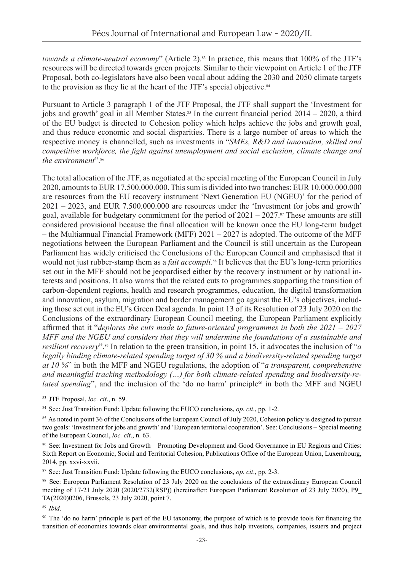*towards a climate-neutral economy*" (Article 2).<sup>83</sup> In practice, this means that 100% of the JTF's resources will be directed towards green projects. Similar to their viewpoint on Article 1 of the JTF Proposal, both co-legislators have also been vocal about adding the 2030 and 2050 climate targets to the provision as they lie at the heart of the JTF's special objective.<sup>84</sup>

Pursuant to Article 3 paragraph 1 of the JTF Proposal, the JTF shall support the 'Investment for jobs and growth' goal in all Member States.<sup>85</sup> In the current financial period  $2014 - 2020$ , a third of the EU budget is directed to Cohesion policy which helps achieve the jobs and growth goal, and thus reduce economic and social disparities. There is a large number of areas to which the respective money is channelled, such as investments in "*SMEs, R&D and innovation, skilled and competitive workforce, the fight against unemployment and social exclusion, climate change and the environment*". 86

The total allocation of the JTF, as negotiated at the special meeting of the European Council in July 2020, amounts to EUR 17.500.000.000. This sum is divided into two tranches: EUR 10.000.000.000 are resources from the EU recovery instrument 'Next Generation EU (NGEU)' for the period of 2021 – 2023, and EUR 7.500.000.000 are resources under the 'Investment for jobs and growth' goal, available for budgetary commitment for the period of  $2021 - 2027$ .<sup>87</sup> These amounts are still considered provisional because the final allocation will be known once the EU long-term budget – the Multiannual Financial Framework (MFF) 2021 – 2027 is adopted. The outcome of the MFF negotiations between the European Parliament and the Council is still uncertain as the European Parliament has widely criticised the Conclusions of the European Council and emphasised that it would not just rubber-stamp them as a *fait accompli*.<sup>88</sup> It believes that the EU's long-term priorities set out in the MFF should not be jeopardised either by the recovery instrument or by national interests and positions. It also warns that the related cuts to programmes supporting the transition of carbon-dependent regions, health and research programmes, education, the digital transformation and innovation, asylum, migration and border management go against the EU's objectives, including those set out in the EU's Green Deal agenda. In point 13 of its Resolution of 23 July 2020 on the Conclusions of the extraordinary European Council meeting, the European Parliament explicitly affirmed that it "*deplores the cuts made to future-oriented programmes in both the 2021 – 2027 MFF and the NGEU and considers that they will undermine the foundations of a sustainable and resilient recovery*".89 In relation to the green transition, in point 15, it advocates the inclusion of "*a legally binding climate-related spending target of 30 % and a biodiversity-related spending target at 10 %*" in both the MFF and NGEU regulations, the adoption of "*a transparent, comprehensive and meaningful tracking methodology (…) for both climate-related spending and biodiversity-related spending*", and the inclusion of the 'do no harm' principle<sup>90</sup> in both the MFF and NGEU

<sup>89</sup> *Ibid*.

<sup>83</sup> JTF Proposal, *loc. cit*., n. 59.

<sup>84</sup> See: Just Transition Fund: Update following the EUCO conclusions, *op. cit*., pp. 1-2.

<sup>&</sup>lt;sup>85</sup> As noted in point 36 of the Conclusions of the European Council of July 2020, Cohesion policy is designed to pursue two goals: 'Investment for jobs and growth' and 'European territorial cooperation'. See: Conclusions – Special meeting of the European Council, *loc. cit*., n. 63.

<sup>86</sup> See: Investment for Jobs and Growth – Promoting Development and Good Governance in EU Regions and Cities: Sixth Report on Economic, Social and Territorial Cohesion, Publications Office of the European Union, Luxembourg, 2014, pp. xxvi-xxvii.

<sup>87</sup> See: Just Transition Fund: Update following the EUCO conclusions, *op. cit*., pp. 2-3.

<sup>88</sup> See: European Parliament Resolution of 23 July 2020 on the conclusions of the extraordinary European Council meeting of 17-21 July 2020 (2020/2732(RSP)) (hereinafter: European Parliament Resolution of 23 July 2020), P9\_ TA(2020)0206, Brussels, 23 July 2020, point 7.

<sup>&</sup>lt;sup>90</sup> The 'do no harm' principle is part of the EU taxonomy, the purpose of which is to provide tools for financing the transition of economies towards clear environmental goals, and thus help investors, companies, issuers and project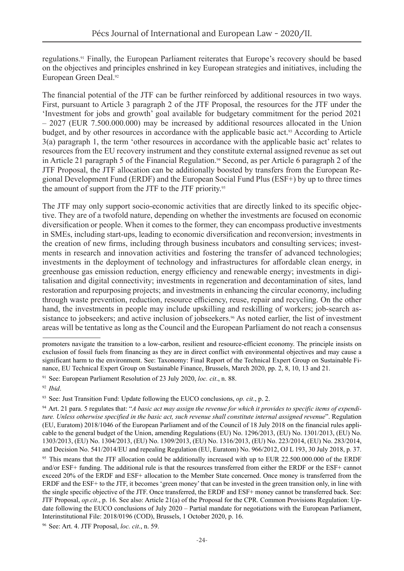regulations.91 Finally, the European Parliament reiterates that Europe's recovery should be based on the objectives and principles enshrined in key European strategies and initiatives, including the European Green Deal.<sup>92</sup>

The financial potential of the JTF can be further reinforced by additional resources in two ways. First, pursuant to Article 3 paragraph 2 of the JTF Proposal, the resources for the JTF under the 'Investment for jobs and growth' goal available for budgetary commitment for the period 2021 – 2027 (EUR 7.500.000.000) may be increased by additional resources allocated in the Union budget, and by other resources in accordance with the applicable basic act.<sup>93</sup> According to Article 3(a) paragraph 1, the term 'other resources in accordance with the applicable basic act' relates to resources from the EU recovery instrument and they constitute external assigned revenue as set out in Article 21 paragraph 5 of the Financial Regulation.<sup>94</sup> Second, as per Article 6 paragraph 2 of the JTF Proposal, the JTF allocation can be additionally boosted by transfers from the European Regional Development Fund (ERDF) and the European Social Fund Plus (ESF+) by up to three times the amount of support from the JTF to the JTF priority.<sup>95</sup>

The JTF may only support socio-economic activities that are directly linked to its specific objective. They are of a twofold nature, depending on whether the investments are focused on economic diversification or people. When it comes to the former, they can encompass productive investments in SMEs, including start-ups, leading to economic diversification and reconversion; investments in the creation of new firms, including through business incubators and consulting services; investments in research and innovation activities and fostering the transfer of advanced technologies; investments in the deployment of technology and infrastructures for affordable clean energy, in greenhouse gas emission reduction, energy efficiency and renewable energy; investments in digitalisation and digital connectivity; investments in regeneration and decontamination of sites, land restoration and repurposing projects; and investments in enhancing the circular economy, including through waste prevention, reduction, resource efficiency, reuse, repair and recycling. On the other hand, the investments in people may include upskilling and reskilling of workers; job-search assistance to jobseekers; and active inclusion of jobseekers.<sup>96</sup> As noted earlier, the list of investment areas will be tentative as long as the Council and the European Parliament do not reach a consensus

Interinstitutional File: 2018/0196 (COD), Brussels, 1 October 2020, p. 16.

promoters navigate the transition to a low-carbon, resilient and resource-efficient economy. The principle insists on exclusion of fossil fuels from financing as they are in direct conflict with environmental objectives and may cause a significant harm to the environment. See: Taxonomy: Final Report of the Technical Expert Group on Sustainable Finance, EU Technical Expert Group on Sustainable Finance, Brussels, March 2020, pp. 2, 8, 10, 13 and 21.

<sup>91</sup> See: European Parliament Resolution of 23 July 2020, *loc. cit*., n. 88.

<sup>92</sup> *Ibid*.

<sup>93</sup> See: Just Transition Fund: Update following the EUCO conclusions, *op. cit*., p. 2.

<sup>94</sup> Art. 21 para. 5 regulates that: "*A basic act may assign the revenue for which it provides to specific items of expenditure. Unless otherwise specified in the basic act, such revenue shall constitute internal assigned revenue*". Regulation (EU, Euratom) 2018/1046 of the European Parliament and of the Council of 18 July 2018 on the financial rules applicable to the general budget of the Union, amending Regulations (EU) No. 1296/2013, (EU) No. 1301/2013, (EU) No. 1303/2013, (EU) No. 1304/2013, (EU) No. 1309/2013, (EU) No. 1316/2013, (EU) No. 223/2014, (EU) No. 283/2014, and Decision No. 541/2014/EU and repealing Regulation (EU, Euratom) No. 966/2012, OJ L 193, 30 July 2018, p. 37. <sup>95</sup> This means that the JTF allocation could be additionally increased with up to EUR 22.500.000.000 of the ERDF and/or ESF+ funding. The additional rule is that the resources transferred from either the ERDF or the ESF+ cannot exceed 20% of the ERDF and ESF+ allocation to the Member State concerned. Once money is transferred from the ERDF and the ESF+ to the JTF, it becomes 'green money' that can be invested in the green transition only, in line with the single specific objective of the JTF. Once transferred, the ERDF and ESF+ money cannot be transferred back. See: JTF Proposal, *op.cit*., p. 16. See also: Article 21(a) of the Proposal for the CPR. Common Provisions Regulation: Update following the EUCO conclusions of July 2020 – Partial mandate for negotiations with the European Parliament,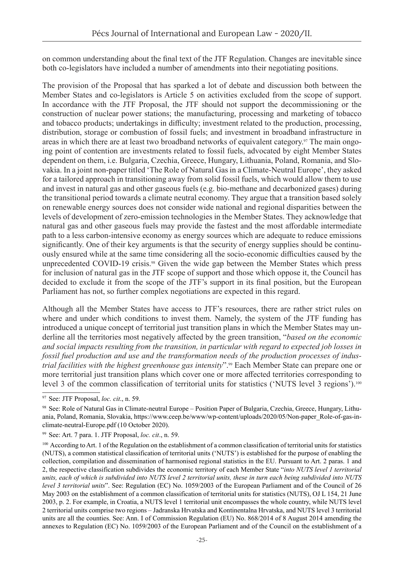on common understanding about the final text of the JTF Regulation. Changes are inevitable since both co-legislators have included a number of amendments into their negotiating positions.

The provision of the Proposal that has sparked a lot of debate and discussion both between the Member States and co-legislators is Article 5 on activities excluded from the scope of support. In accordance with the JTF Proposal, the JTF should not support the decommissioning or the construction of nuclear power stations; the manufacturing, processing and marketing of tobacco and tobacco products; undertakings in difficulty; investment related to the production, processing, distribution, storage or combustion of fossil fuels; and investment in broadband infrastructure in areas in which there are at least two broadband networks of equivalent category.97 The main ongoing point of contention are investments related to fossil fuels, advocated by eight Member States dependent on them, i.e. Bulgaria, Czechia, Greece, Hungary, Lithuania, Poland, Romania, and Slovakia. In a joint non-paper titled 'The Role of Natural Gas in a Climate-Neutral Europe', they asked for a tailored approach in transitioning away from solid fossil fuels, which would allow them to use and invest in natural gas and other gaseous fuels (e.g. bio-methane and decarbonized gases) during the transitional period towards a climate neutral economy. They argue that a transition based solely on renewable energy sources does not consider wide national and regional disparities between the levels of development of zero-emission technologies in the Member States. They acknowledge that natural gas and other gaseous fuels may provide the fastest and the most affordable intermediate path to a less carbon-intensive economy as energy sources which are adequate to reduce emissions significantly. One of their key arguments is that the security of energy supplies should be continuously ensured while at the same time considering all the socio-economic difficulties caused by the unprecedented COVID-19 crisis.<sup>98</sup> Given the wide gap between the Member States which press for inclusion of natural gas in the JTF scope of support and those which oppose it, the Council has decided to exclude it from the scope of the JTF's support in its final position, but the European Parliament has not, so further complex negotiations are expected in this regard.

Although all the Member States have access to JTF's resources, there are rather strict rules on where and under which conditions to invest them. Namely, the system of the JTF funding has introduced a unique concept of territorial just transition plans in which the Member States may underline all the territories most negatively affected by the green transition, "*based on the economic and social impacts resulting from the transition, in particular with regard to expected job losses in fossil fuel production and use and the transformation needs of the production processes of industrial facilities with the highest greenhouse gas intensity*".99 Each Member State can prepare one or more territorial just transition plans which cover one or more affected territories corresponding to level 3 of the common classification of territorial units for statistics ('NUTS level 3 regions').<sup>100</sup>

<sup>97</sup> See: JTF Proposal, *loc. cit*., n. 59.

<sup>98</sup> See: Role of Natural Gas in Climate-neutral Europe - Position Paper of Bulgaria, Czechia, Greece, Hungary, Lithuania, Poland, Romania, Slovakia, [https://www.ceep.be/www/wp-content/uploads/2020/05/Non-paper\\_Role-of-gas-in](https://www.ceep.be/www/wp-content/uploads/2020/05/Non-paper_Role-of-gas-in-climate-neutral-Europe.pdf)[climate-neutral-Europe.pdf](https://www.ceep.be/www/wp-content/uploads/2020/05/Non-paper_Role-of-gas-in-climate-neutral-Europe.pdf) (10 October 2020).

<sup>99</sup> See: Art. 7 para. 1. JTF Proposal, *loc. cit*., n. 59.

<sup>&</sup>lt;sup>100</sup> According to Art. 1 of the Regulation on the establishment of a common classification of territorial units for statistics (NUTS), a common statistical classification of territorial units ('NUTS') is established for the purpose of enabling the collection, compilation and dissemination of harmonised regional statistics in the EU. Pursuant to Art. 2 paras. 1 and 2, the respective classification subdivides the economic territory of each Member State "*into NUTS level 1 territorial units, each of which is subdivided into NUTS level 2 territorial units, these in turn each being subdivided into NUTS level 3 territorial units*". See: Regulation (EC) No. 1059/2003 of the European Parliament and of the Council of 26 May 2003 on the establishment of a common classification of territorial units for statistics (NUTS), OJ L 154, 21 June 2003, p. 2. For example, in Croatia, a NUTS level 1 territorial unit encompasses the whole country, while NUTS level 2 territorial units comprise two regions – Jadranska Hrvatska and Kontinentalna Hrvatska, and NUTS level 3 territorial units are all the counties. See: Ann. I of Commission Regulation (EU) No. 868/2014 of 8 August 2014 amending the annexes to Regulation (EC) No. 1059/2003 of the European Parliament and of the Council on the establishment of a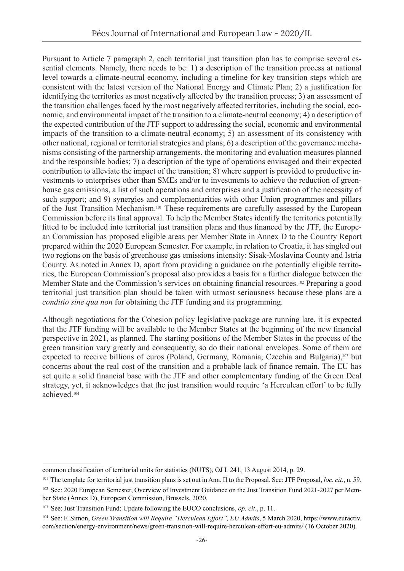Pursuant to Article 7 paragraph 2, each territorial just transition plan has to comprise several essential elements. Namely, there needs to be: 1) a description of the transition process at national level towards a climate-neutral economy, including a timeline for key transition steps which are consistent with the latest version of the National Energy and Climate Plan; 2) a justification for identifying the territories as most negatively affected by the transition process; 3) an assessment of the transition challenges faced by the most negatively affected territories, including the social, economic, and environmental impact of the transition to a climate-neutral economy; 4) a description of the expected contribution of the JTF support to addressing the social, economic and environmental impacts of the transition to a climate-neutral economy; 5) an assessment of its consistency with other national, regional or territorial strategies and plans; 6) a description of the governance mechanisms consisting of the partnership arrangements, the monitoring and evaluation measures planned and the responsible bodies; 7) a description of the type of operations envisaged and their expected contribution to alleviate the impact of the transition; 8) where support is provided to productive investments to enterprises other than SMEs and/or to investments to achieve the reduction of greenhouse gas emissions, a list of such operations and enterprises and a justification of the necessity of such support; and 9) synergies and complementarities with other Union programmes and pillars of the Just Transition Mechanism.101 These requirements are carefully assessed by the European Commission before its final approval. To help the Member States identify the territories potentially fitted to be included into territorial just transition plans and thus financed by the JTF, the European Commission has proposed eligible areas per Member State in Annex D to the Country Report prepared within the 2020 European Semester. For example, in relation to Croatia, it has singled out two regions on the basis of greenhouse gas emissions intensity: Sisak-Moslavina County and Istria County. As noted in Annex D, apart from providing a guidance on the potentially eligible territories, the European Commission's proposal also provides a basis for a further dialogue between the Member State and the Commission's services on obtaining financial resources.<sup>102</sup> Preparing a good territorial just transition plan should be taken with utmost seriousness because these plans are a *conditio sine qua non* for obtaining the JTF funding and its programming.

Although negotiations for the Cohesion policy legislative package are running late, it is expected that the JTF funding will be available to the Member States at the beginning of the new financial perspective in 2021, as planned. The starting positions of the Member States in the process of the green transition vary greatly and consequently, so do their national envelopes. Some of them are expected to receive billions of euros (Poland, Germany, Romania, Czechia and Bulgaria),<sup>103</sup> but concerns about the real cost of the transition and a probable lack of finance remain. The EU has set quite a solid financial base with the JTF and other complementary funding of the Green Deal strategy, yet, it acknowledges that the just transition would require 'a Herculean effort' to be fully achieved.104

common classification of territorial units for statistics (NUTS), OJ L 241, 13 August 2014, p. 29.

<sup>101</sup> The template for territorial just transition plans is set out in Ann. II to the Proposal. See: JTF Proposal, *loc. cit.*, n. 59.

<sup>102</sup> See: 2020 European Semester, Overview of Investment Guidance on the Just Transition Fund 2021-2027 per Member State (Annex D), European Commission, Brussels, 2020.

<sup>103</sup> See: Just Transition Fund: Update following the EUCO conclusions, *op. cit*., p. 11.

<sup>&</sup>lt;sup>104</sup> See: F. Simon, *Green Transition will Require "Herculean Effort", EU Admits*, 5 March 2020, [https://www.euractiv.](https://www.euractiv.com/section/energy-environment/news/green-transition-will-require-herculean-effort-eu-admits/) [com/section/energy-environment/news/green-transition-will-require-herculean-effort-eu-admits/](https://www.euractiv.com/section/energy-environment/news/green-transition-will-require-herculean-effort-eu-admits/) (16 October 2020).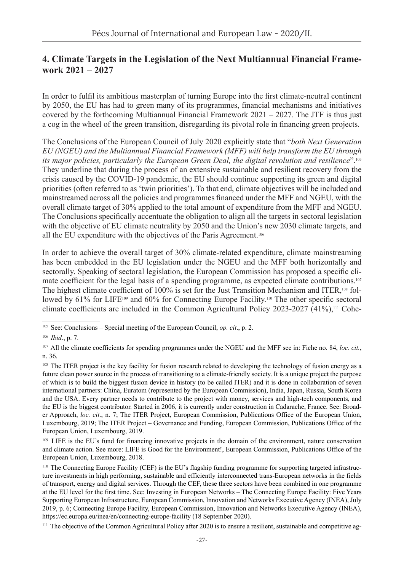## **4. Climate Targets in the Legislation of the Next Multiannual Financial Framework 2021 – 2027**

In order to fulfil its ambitious masterplan of turning Europe into the first climate-neutral continent by 2050, the EU has had to green many of its programmes, financial mechanisms and initiatives covered by the forthcoming Multiannual Financial Framework 2021 – 2027. The JTF is thus just a cog in the wheel of the green transition, disregarding its pivotal role in financing green projects.

The Conclusions of the European Council of July 2020 explicitly state that "*both Next Generation EU (NGEU) and the Multiannual Financial Framework (MFF) will help transform the EU through its major policies, particularly the European Green Deal, the digital revolution and resilience*".105 They underline that during the process of an extensive sustainable and resilient recovery from the crisis caused by the COVID-19 pandemic, the EU should continue supporting its green and digital priorities (often referred to as 'twin priorities'). To that end, climate objectives will be included and mainstreamed across all the policies and programmes financed under the MFF and NGEU, with the overall climate target of 30% applied to the total amount of expenditure from the MFF and NGEU. The Conclusions specifically accentuate the obligation to align all the targets in sectoral legislation with the objective of EU climate neutrality by 2050 and the Union's new 2030 climate targets, and all the EU expenditure with the objectives of the Paris Agreement.106

In order to achieve the overall target of 30% climate-related expenditure, climate mainstreaming has been embedded in the EU legislation under the NGEU and the MFF both horizontally and sectorally. Speaking of sectoral legislation, the European Commission has proposed a specific climate coefficient for the legal basis of a spending programme, as expected climate contributions.<sup>107</sup> The highest climate coefficient of 100% is set for the Just Transition Mechanism and ITER,<sup>108</sup> followed by 61% for LIFE<sup>109</sup> and 60% for Connecting Europe Facility.<sup>110</sup> The other specific sectoral climate coefficients are included in the Common Agricultural Policy 2023-2027  $(41\%)$ ,<sup>111</sup> Cohe-

<sup>105</sup> See: Conclusions – Special meeting of the European Council, *op. cit*., p. 2.

<sup>106</sup> *Ibid*., p. 7.

<sup>107</sup> All the climate coefficients for spending programmes under the NGEU and the MFF see in: Fiche no. 84, *loc. cit.*, n. 36.

<sup>&</sup>lt;sup>108</sup> The ITER project is the key facility for fusion research related to developing the technology of fusion energy as a future clean power source in the process of transitioning to a climate-friendly society. It is a unique project the purpose of which is to build the biggest fusion device in history (to be called ITER) and it is done in collaboration of seven international partners: China, Euratom (represented by the European Commission), India, Japan, Russia, South Korea and the USA. Every partner needs to contribute to the project with money, services and high-tech components, and the EU is the biggest contributor. Started in 2006, it is currently under construction in Cadarache, France. See: Broader Approach, *loc. cit*., n. 7; The ITER Project, European Commission, Publications Office of the European Union, Luxembourg, 2019; The ITER Project – Governance and Funding, European Commission, Publications Office of the European Union, Luxembourg, 2019.

<sup>&</sup>lt;sup>109</sup> LIFE is the EU's fund for financing innovative projects in the domain of the environment, nature conservation and climate action. See more: LIFE is Good for the Environment!, European Commission, Publications Office of the European Union, Luxembourg, 2018.

<sup>110</sup> The Connecting Europe Facility (CEF) is the EU's flagship funding programme for supporting targeted infrastructure investments in high performing, sustainable and efficiently interconnected trans-European networks in the fields of transport, energy and digital services. Through the CEF, these three sectors have been combined in one programme at the EU level for the first time. See: Investing in European Networks – The Connecting Europe Facility: Five Years Supporting European Infrastructure, European Commission, Innovation and Networks Executive Agency (INEA), July 2019, p. 6; Connecting Europe Facility, European Commission, Innovation and Networks Executive Agency (INEA), <https://ec.europa.eu/inea/en/connecting-europe-facility> (18 September 2020).

<sup>&</sup>lt;sup>111</sup> The objective of the Common Agricultural Policy after 2020 is to ensure a resilient, sustainable and competitive ag-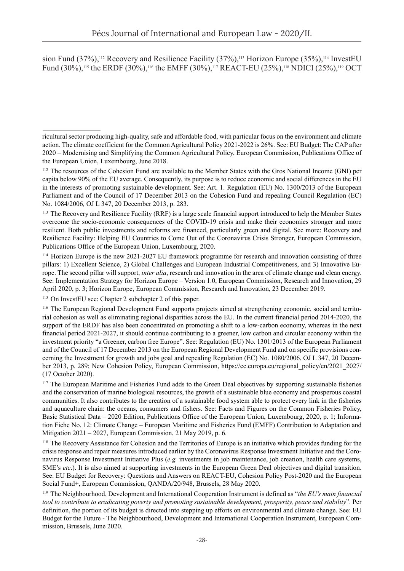sion Fund  $(37\%)$ ,<sup>112</sup> Recovery and Resilience Facility  $(37\%)$ ,<sup>113</sup> Horizon Europe  $(35\%)$ ,<sup>114</sup> InvestEU Fund (30%),<sup>115</sup> the ERDF (30%),<sup>116</sup> the EMFF (30%),<sup>117</sup> REACT-EU (25%),<sup>118</sup> NDICI (25%),<sup>119</sup> OCT

<sup>113</sup> The Recovery and Resilience Facility (RRF) is a large scale financial support introduced to help the Member States overcome the socio-economic consequences of the COVID-19 crisis and make their economies stronger and more resilient. Both public investments and reforms are financed, particularly green and digital. See more: Recovery and Resilience Facility: Helping EU Countries to Come Out of the Coronavirus Crisis Stronger, European Commission, Publications Office of the European Union, Luxembourg, 2020.

<sup>114</sup> Horizon Europe is the new 2021-2027 EU framework programme for research and innovation consisting of three pillars: 1) Excellent Science, 2) Global Challenges and European Industrial Competitiveness, and 3) Innovative Europe. The second pillar will support, *inter alia*, research and innovation in the area of climate change and clean energy. See: Implementation Strategy for Horizon Europe – Version 1.0, European Commission, Research and Innovation, 29 April 2020, p. 3; Horizon Europe, European Commission, Research and Innovation, 23 December 2019.

115 On InvestEU see: Chapter 2 subchapter 2 of this paper.

<sup>116</sup> The European Regional Development Fund supports projects aimed at strengthening economic, social and territorial cohesion as well as eliminating regional disparities across the EU. In the current financial period 2014-2020, the support of the ERDF has also been concentrated on promoting a shift to a low-carbon economy, whereas in the next financial period 2021-2027, it should continue contributing to a greener, low carbon and circular economy within the investment priority "a Greener, carbon free Europe". See: Regulation (EU) No. 1301/2013 of the European Parliament and of the Council of 17 December 2013 on the European Regional Development Fund and on specific provisions concerning the Investment for growth and jobs goal and repealing Regulation (EC) No. 1080/2006, OJ L 347, 20 December 2013, p. 289; New Cohesion Policy, European Commission, [https://ec.europa.eu/regional\\_policy/en/2021\\_2027/](https://ec.europa.eu/regional_policy/en/2021_2027/) (17 October 2020).

<sup>117</sup> The European Maritime and Fisheries Fund adds to the Green Deal objectives by supporting sustainable fisheries and the conservation of marine biological resources, the growth of a sustainable blue economy and prosperous coastal communities. It also contributes to the creation of a sustainable food system able to protect every link in the fisheries and aquaculture chain: the oceans, consumers and fishers. See: Facts and Figures on the Common Fisheries Policy, Basic Statistical Data – 2020 Edition, Publications Office of the European Union, Luxembourg, 2020, p. 1; Information Fiche No. 12: Climate Change – European Maritime and Fisheries Fund (EMFF) Contribution to Adaptation and Mitigation 2021 – 2027, European Commission, 21 May 2019, p. 6.

<sup>118</sup> The Recovery Assistance for Cohesion and the Territories of Europe is an initiative which provides funding for the crisis response and repair measures introduced earlier by the Coronavirus Response Investment Initiative and the Coronavirus Response Investment Initiative Plus (*e.g.* investments in job maintenance, job creation, health care systems, SME's *etc*.). It is also aimed at supporting investments in the European Green Deal objectives and digital transition. See: EU Budget for Recovery: Questions and Answers on REACT-EU, Cohesion Policy Post-2020 and the European Social Fund+, European Commission, QANDA/20/948, Brussels, 28 May 2020.

<sup>119</sup> The Neighbourhood, Development and International Cooperation Instrument is defined as "*the EU's main financial tool to contribute to eradicating poverty and promoting sustainable development, prosperity, peace and stability*". Per definition, the portion of its budget is directed into stepping up efforts on environmental and climate change. See: EU Budget for the Future - The Neighbourhood, Development and International Cooperation Instrument, European Commission, Brussels, June 2020.

ricultural sector producing high-quality, safe and affordable food, with particular focus on the environment and climate action. The climate coefficient for the Common Agricultural Policy 2021-2022 is 26%. See: EU Budget: The CAP after 2020 – Modernising and Simplifying the Common Agricultural Policy, European Commission, Publications Office of the European Union, Luxembourg, June 2018.

<sup>&</sup>lt;sup>112</sup> The resources of the Cohesion Fund are available to the Member States with the Gros National Income (GNI) per capita below 90% of the EU average. Consequently, its purpose is to reduce economic and social differences in the EU in the interests of promoting sustainable development. See: Art. 1. Regulation (EU) No. 1300/2013 of the European Parliament and of the Council of 17 December 2013 on the Cohesion Fund and repealing Council Regulation (EC) No. 1084/2006*,* OJ L 347, 20 December 2013, p. 283.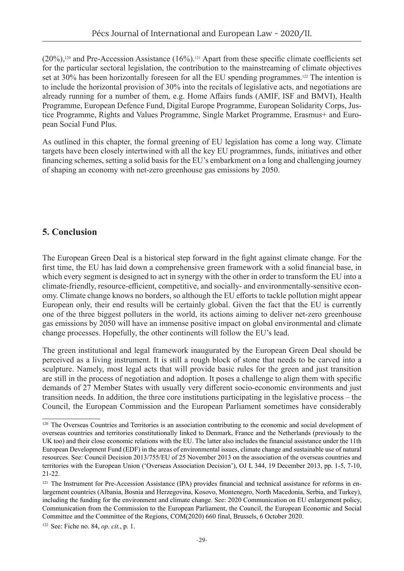$(20\%)$ ,<sup>120</sup> and Pre-Accession Assistance (16%).<sup>121</sup> Apart from these specific climate coefficients set for the particular sectoral legislation, the contribution to the mainstreaming of climate objectives set at 30% has been horizontally foreseen for all the EU spending programmes.<sup>122</sup> The intention is to include the horizontal provision of 30% into the recitals of legislative acts, and negotiations are already running for a number of them, e.g. Home Affairs funds (AMIF, ISF and BMVI), Health Programme, European Defence Fund, Digital Europe Programme, European Solidarity Corps, Justice Programme, Rights and Values Programme, Single Market Programme, Erasmus+ and European Social Fund Plus.

As outlined in this chapter, the formal greening of EU legislation has come a long way. Climate targets have been closely intertwined with all the key EU programmes, funds, initiatives and other financing schemes, setting a solid basis for the EU's embarkment on a long and challenging journey of shaping an economy with net-zero greenhouse gas emissions by 2050.

### **5. Conclusion**

The European Green Deal is a historical step forward in the fight against climate change. For the first time, the EU has laid down a comprehensive green framework with a solid financial base, in which every segment is designed to act in synergy with the other in order to transform the EU into a climate-friendly, resource-efficient, competitive, and socially- and environmentally-sensitive economy. Climate change knows no borders, so although the EU efforts to tackle pollution might appear European only, their end results will be certainly global. Given the fact that the EU is currently one of the three biggest polluters in the world, its actions aiming to deliver net-zero greenhouse gas emissions by 2050 will have an immense positive impact on global environmental and climate change processes. Hopefully, the other continents will follow the EU's lead.

The green institutional and legal framework inaugurated by the European Green Deal should be perceived as a living instrument. It is still a rough block of stone that needs to be carved into a sculpture. Namely, most legal acts that will provide basic rules for the green and just transition are still in the process of negotiation and adoption. It poses a challenge to align them with specific demands of 27 Member States with usually very different socio-economic environments and just transition needs. In addition, the three core institutions participating in the legislative process – the Council, the European Commission and the European Parliament sometimes have considerably

122 See: Fiche no. 84, *op. cit.*, p. 1.

<sup>&</sup>lt;sup>120</sup> The Overseas Countries and Territories is an association contributing to the economic and social development of overseas countries and territories constitutionally linked to Denmark, France and the Netherlands (previously to the UK too) and their close economic relations with the EU. The latter also includes the financial assistance under the 11th European Development Fund (EDF) in the areas of environmental issues, climate change and sustainable use of natural resources. See: Council Decision 2013/755/EU of 25 November 2013 on the association of the overseas countries and territories with the European Union ('Overseas Association Decision'), OJ L 344, 19 December 2013, pp. 1-5, 7-10, 21-22.

 $121$  The Instrument for Pre-Accession Assistance (IPA) provides financial and technical assistance for reforms in enlargement countries ([Albania,](https://ec.europa.eu/neighbourhood-enlargement/instruments/funding-by-country/albania_en) [Bosnia and Herzegovina](https://ec.europa.eu/neighbourhood-enlargement/instruments/funding-by-country/bosnia-herzegovina_en), Kosovo, [Montenegro](https://ec.europa.eu/neighbourhood-enlargement/instruments/funding-by-country/montenegro_en), [North Macedonia,](https://ec.europa.eu/neighbourhood-enlargement/instruments/funding-by-country/north-macedonia_en) [Serbia,](https://ec.europa.eu/neighbourhood-enlargement/instruments/funding-by-country/serbia_en) and [Turkey](https://ec.europa.eu/neighbourhood-enlargement/instruments/funding-by-country/turkey_en)), including the funding for the environment and climate change. See: 2020 Communication on EU enlargement policy, Communication from the Commission to the European Parliament, the Council, the European Economic and Social Committee and the Committee of the Regions, COM(2020) 660 final, Brussels, 6 October 2020.